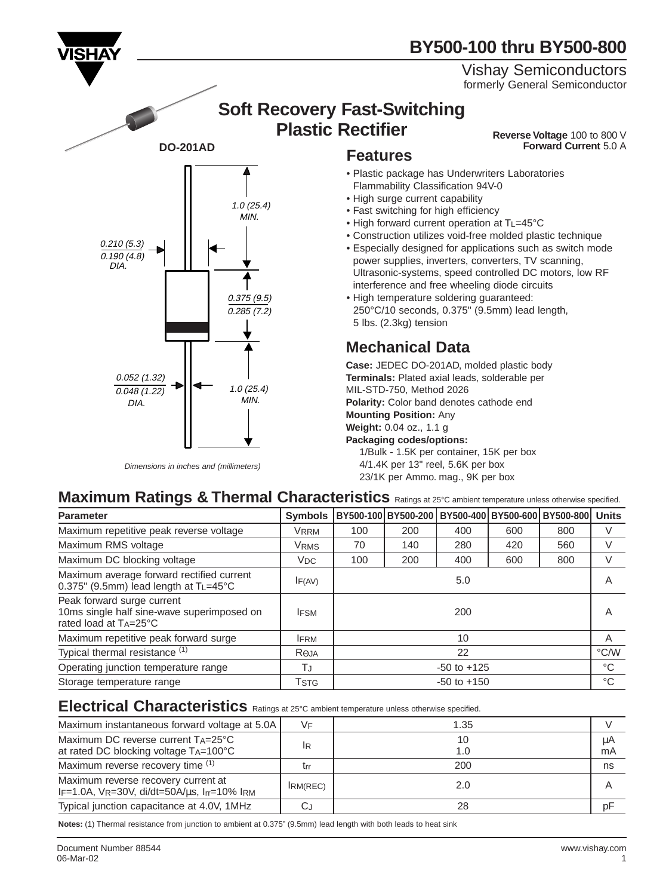

Dimensions in inches and (millimeters)

## **BY500-100 thru BY500-800**

#### Vishay Semiconductors formerly General Semiconductor

## **Soft Recovery Fast-Switching Plastic Rectifier Reverse Voltage** 100 to 800 V

**Forward Current** 5.0 A

- Plastic package has Underwriters Laboratories Flammability Classification 94V-0
- High surge current capability
- Fast switching for high efficiency
- High forward current operation at TL=45°C
- Construction utilizes void-free molded plastic technique
- Especially designed for applications such as switch mode power supplies, inverters, converters, TV scanning, Ultrasonic-systems, speed controlled DC motors, low RF interference and free wheeling diode circuits
- High temperature soldering guaranteed: 250°C/10 seconds, 0.375" (9.5mm) lead length, 5 lbs. (2.3kg) tension

## **Mechanical Data**

**Case:** JEDEC DO-201AD, molded plastic body **Terminals:** Plated axial leads, solderable per MIL-STD-750, Method 2026 **Polarity:** Color band denotes cathode end **Mounting Position:** Any **Weight:** 0.04 oz., 1.1 g **Packaging codes/options:**

1/Bulk - 1.5K per container, 15K per box 4/1.4K per 13" reel, 5.6K per box 23/1K per Ammo. mag., 9K per box

## **Maximum Ratings & Thermal Characteristics** Ratings at 25°C ambient temperature unless otherwise specified.

| <b>Parameter</b>                                                                                  | <b>Symbols</b>   |                 | BY500-100 BY500-200 BY500-400 BY500-600 BY500-800 Units |     |     |     |             |
|---------------------------------------------------------------------------------------------------|------------------|-----------------|---------------------------------------------------------|-----|-----|-----|-------------|
| Maximum repetitive peak reverse voltage                                                           | <b>VRRM</b>      | 100             | 200                                                     | 400 | 600 | 800 |             |
| Maximum RMS voltage                                                                               | <b>VRMS</b>      | 70              | 140                                                     | 280 | 420 | 560 |             |
| Maximum DC blocking voltage                                                                       | $V_{DC}$         | 100             | 200                                                     | 400 | 600 | 800 |             |
| Maximum average forward rectified current<br>$0.375$ " (9.5mm) lead length at $T_{L}=45^{\circ}C$ | IF(AV)           | 5.0             |                                                         |     |     |     | A           |
| Peak forward surge current<br>10ms single half sine-wave superimposed on<br>rated load at TA=25°C | <b>IFSM</b>      | 200             |                                                         |     |     |     | A           |
| Maximum repetitive peak forward surge                                                             | <b>IFRM</b>      | 10              |                                                         |     |     |     | A           |
| Typical thermal resistance (1)                                                                    | R <sub>OJA</sub> | 22              |                                                         |     |     |     | °C/W        |
| Operating junction temperature range                                                              | TJ               | $-50$ to $+125$ |                                                         |     |     |     | °C          |
| Storage temperature range                                                                         | Tstg             | $-50$ to $+150$ |                                                         |     |     |     | $^{\circ}C$ |

#### **Electrical Characteristics** Ratings at 25°C ambient temperature unless otherwise specified.

| Maximum instantaneous forward voltage at 5.0A                                           | <b>VF</b>      | 1.35      |          |
|-----------------------------------------------------------------------------------------|----------------|-----------|----------|
| Maximum DC reverse current TA=25°C<br>at rated DC blocking voltage $T_A = 100^{\circ}C$ | <sup>1</sup> R | 10<br>1.0 | μA<br>mA |
| Maximum reverse recovery time (1)                                                       | trr            | 200       | ns       |
| Maximum reverse recovery current at<br>IF=1.0A, VR=30V, di/dt=50A/us, Irr=10% IRM       | IRM(REC)       | 2.0       |          |
| Typical junction capacitance at 4.0V, 1MHz                                              | CJ             | 28        | рF       |

**Notes:** (1) Thermal resistance from junction to ambient at 0.375" (9.5mm) lead length with both leads to heat sink